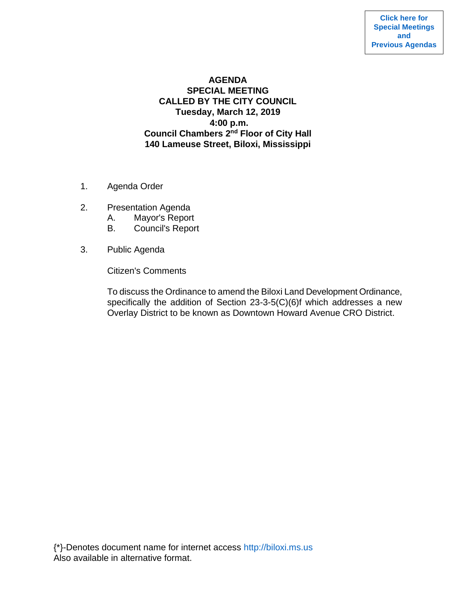# **AGENDA SPECIAL MEETING CALLED BY THE CITY COUNCIL Tuesday, March 12, 2019 4:00 p.m. Council Chambers 2nd Floor of City Hall 140 Lameuse Street, Biloxi, Mississippi**

- 1. Agenda Order
- 2. Presentation Agenda
	- A. Mayor's Report
	- B. Council's Report
- 3. Public Agenda

Citizen's Comments

To discuss the Ordinance to amend the Biloxi Land Development Ordinance, specifically the addition of Section 23-3-5(C)(6)f which addresses a new Overlay District to be known as Downtown Howard Avenue CRO District.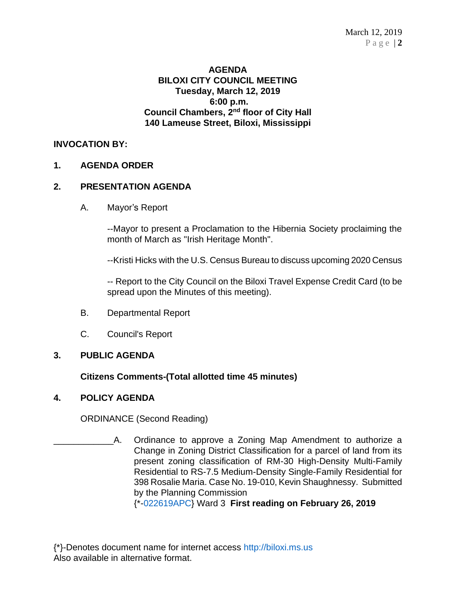## **AGENDA BILOXI CITY COUNCIL MEETING Tuesday, March 12, 2019 6:00 p.m. Council Chambers, 2nd floor of City Hall 140 Lameuse Street, Biloxi, Mississippi**

# **INVOCATION BY:**

# **1. AGENDA ORDER**

### **2. PRESENTATION AGENDA**

A. Mayor's Report

--Mayor to present a Proclamation to the Hibernia Society proclaiming the month of March as "Irish Heritage Month".

--Kristi Hicks with the U.S. Census Bureau to discuss upcoming 2020 Census

-- Report to the City Council on the Biloxi Travel Expense Credit Card (to be spread upon the Minutes of this meeting).

- B. Departmental Report
- C. Council's Report

### **3. PUBLIC AGENDA**

### **Citizens Comments-(Total allotted time 45 minutes)**

### **4. POLICY AGENDA**

ORDINANCE (Second Reading)

A. Ordinance to approve a Zoning Map Amendment to authorize a Change in Zoning District Classification for a parcel of land from its present zoning classification of RM-30 High-Density Multi-Family Residential to RS-7.5 Medium-Density Single-Family Residential for 398 Rosalie Maria. Case No. 19-010, Kevin Shaughnessy. Submitted by the Planning Commission

{\*[-022619APC}](https://www.biloxi.ms.us/agendas/citycouncil/2019/031219/022619apc.pdf) Ward 3 **First reading on February 26, 2019**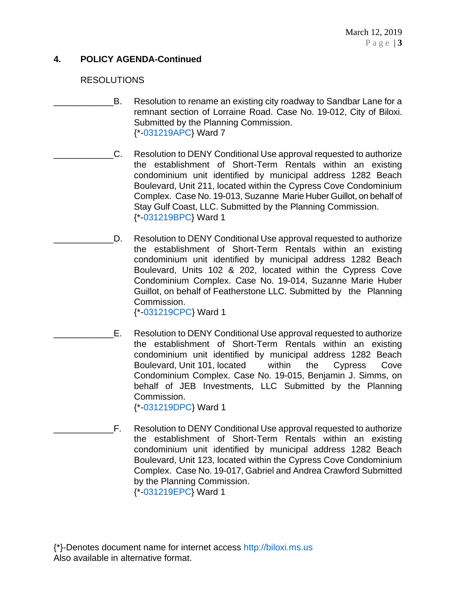# **4. POLICY AGENDA-Continued**

### RESOLUTIONS

- B. Resolution to rename an existing city roadway to Sandbar Lane for a remnant section of Lorraine Road. Case No. 19-012, City of Biloxi. Submitted by the Planning Commission. {\*[-031219APC}](https://www.biloxi.ms.us/agendas/citycouncil/2019/031219/031219apc.pdf) Ward 7
	- \_\_\_\_\_\_\_\_\_\_\_\_C. Resolution to DENY Conditional Use approval requested to authorize the establishment of Short-Term Rentals within an existing condominium unit identified by municipal address 1282 Beach Boulevard, Unit 211, located within the Cypress Cove Condominium Complex. Case No. 19-013, Suzanne Marie Huber Guillot, on behalf of Stay Gulf Coast, LLC. Submitted by the Planning Commission. {\*[-031219BPC}](https://www.biloxi.ms.us/agendas/citycouncil/2019/031219/031219bpc.pdf) Ward 1
- D. Resolution to DENY Conditional Use approval requested to authorize the establishment of Short-Term Rentals within an existing condominium unit identified by municipal address 1282 Beach Boulevard, Units 102 & 202, located within the Cypress Cove Condominium Complex. Case No. 19-014, Suzanne Marie Huber Guillot, on behalf of Featherstone LLC. Submitted by the Planning Commission.

{\*[-031219CPC}](https://www.biloxi.ms.us/agendas/citycouncil/2019/031219/031219cpc.pdf) Ward 1

- E. Resolution to DENY Conditional Use approval requested to authorize the establishment of Short-Term Rentals within an existing condominium unit identified by municipal address 1282 Beach Boulevard, Unit 101, located within the Cypress Cove Condominium Complex. Case No. 19-015, Benjamin J. Simms, on behalf of JEB Investments, LLC Submitted by the Planning Commission. {\*[-031219DPC}](https://www.biloxi.ms.us/agendas/citycouncil/2019/031219/031219dpc.pdf) Ward 1
- F. Resolution to DENY Conditional Use approval requested to authorize the establishment of Short-Term Rentals within an existing condominium unit identified by municipal address 1282 Beach Boulevard, Unit 123, located within the Cypress Cove Condominium Complex. Case No. 19-017, Gabriel and Andrea Crawford Submitted by the Planning Commission. {\*[-031219EPC}](https://www.biloxi.ms.us/agendas/citycouncil/2019/031219/031219epc.pdf) Ward 1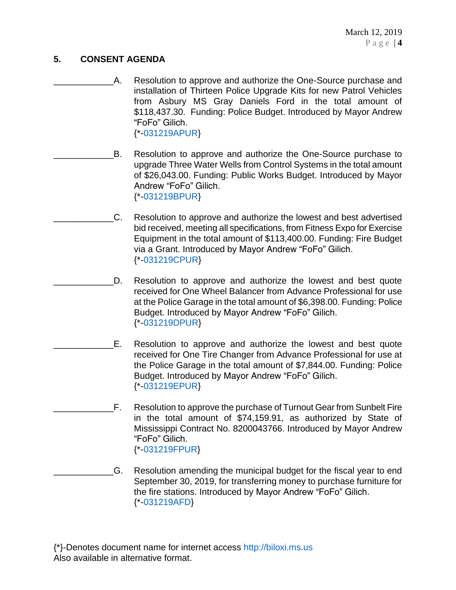# **5. CONSENT AGENDA**

- A. Resolution to approve and authorize the One-Source purchase and installation of Thirteen Police Upgrade Kits for new Patrol Vehicles from Asbury MS Gray Daniels Ford in the total amount of \$118,437.30. Funding: Police Budget. Introduced by Mayor Andrew "FoFo" Gilich. {\*[-031219APUR}](https://www.biloxi.ms.us/agendas/citycouncil/2019/031219/031219apur.pdf)
- B. Resolution to approve and authorize the One-Source purchase to upgrade Three Water Wells from Control Systems in the total amount of \$26,043.00. Funding: Public Works Budget. Introduced by Mayor Andrew "FoFo" Gilich. {\*[-031219BPUR}](https://www.biloxi.ms.us/agendas/citycouncil/2019/031219/031219bpur.pdf)
	- \_\_\_\_\_\_\_\_\_\_\_\_C. Resolution to approve and authorize the lowest and best advertised bid received, meeting all specifications, from Fitness Expo for Exercise Equipment in the total amount of \$113,400.00. Funding: Fire Budget via a Grant. Introduced by Mayor Andrew "FoFo" Gilich. {\*[-031219CPUR}](https://www.biloxi.ms.us/agendas/citycouncil/2019/031219/031219cpur.pdf)
- D. Resolution to approve and authorize the lowest and best quote received for One Wheel Balancer from Advance Professional for use at the Police Garage in the total amount of \$6,398.00. Funding: Police Budget. Introduced by Mayor Andrew "FoFo" Gilich. {\*[-031219DPUR}](https://www.biloxi.ms.us/agendas/citycouncil/2019/031219/031219dpur.pdf)
- \_\_\_\_\_\_\_\_\_\_\_\_E. Resolution to approve and authorize the lowest and best quote received for One Tire Changer from Advance Professional for use at the Police Garage in the total amount of \$7,844.00. Funding: Police Budget. Introduced by Mayor Andrew "FoFo" Gilich. {\*[-031219EPUR}](https://www.biloxi.ms.us/agendas/citycouncil/2019/031219/031219epur.pdf)
- \_\_\_\_\_\_\_\_\_\_\_\_F. Resolution to approve the purchase of Turnout Gear from Sunbelt Fire in the total amount of \$74,159.91, as authorized by State of Mississippi Contract No. 8200043766. Introduced by Mayor Andrew "FoFo" Gilich. {\*[-031219FPUR}](https://www.biloxi.ms.us/agendas/citycouncil/2019/031219/031219fpur.pdf)
- \_\_\_\_\_\_\_\_\_\_\_\_G. Resolution amending the municipal budget for the fiscal year to end September 30, 2019, for transferring money to purchase furniture for the fire stations. Introduced by Mayor Andrew "FoFo" Gilich. {\*[-031219AFD}](https://www.biloxi.ms.us/agendas/citycouncil/2019/031219/031219afd.pdf)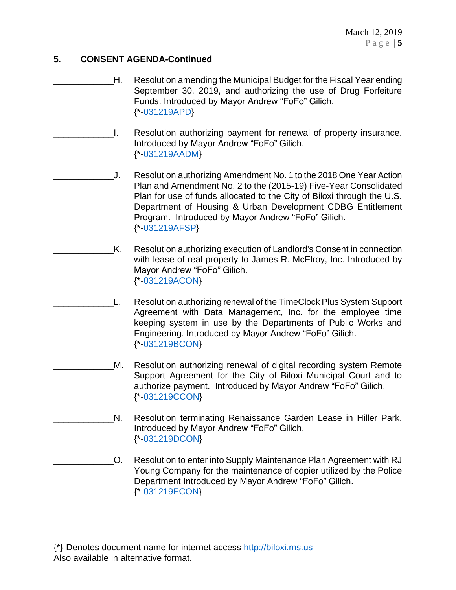# **5. CONSENT AGENDA-Continued**

- \_\_\_\_\_\_\_\_\_\_\_\_H. Resolution amending the Municipal Budget for the Fiscal Year ending September 30, 2019, and authorizing the use of Drug Forfeiture Funds. Introduced by Mayor Andrew "FoFo" Gilich. {\*[-031219APD}](https://www.biloxi.ms.us/agendas/citycouncil/2019/031219/031219apd.pdf)
- \_\_\_\_\_\_\_\_\_\_\_\_I. Resolution authorizing payment for renewal of property insurance. Introduced by Mayor Andrew "FoFo" Gilich. {\*[-031219AADM}](https://www.biloxi.ms.us/agendas/citycouncil/2019/031219/031219aadm.pdf)
- \_\_\_\_\_\_\_\_\_\_\_\_J. Resolution authorizing Amendment No. 1 to the 2018 One Year Action Plan and Amendment No. 2 to the (2015-19) Five-Year Consolidated Plan for use of funds allocated to the City of Biloxi through the U.S. Department of Housing & Urban Development CDBG Entitlement Program. Introduced by Mayor Andrew "FoFo" Gilich. {\*[-031219AFSP}](https://www.biloxi.ms.us/agendas/citycouncil/2019/031219/031219afsp.pdf)
- K. Resolution authorizing execution of Landlord's Consent in connection with lease of real property to James R. McElroy, Inc. Introduced by Mayor Andrew "FoFo" Gilich. {\*[-031219ACON}](https://www.biloxi.ms.us/agendas/citycouncil/2019/031219/031219acon.pdf)
	- \_\_\_\_\_\_\_\_\_\_\_\_L. Resolution authorizing renewal of the TimeClock Plus System Support Agreement with Data Management, Inc. for the employee time keeping system in use by the Departments of Public Works and Engineering. Introduced by Mayor Andrew "FoFo" Gilich. {\*[-031219BCON}](https://www.biloxi.ms.us/agendas/citycouncil/2019/031219/031219bcon.pdf)
		- M. Resolution authorizing renewal of digital recording system Remote Support Agreement for the City of Biloxi Municipal Court and to authorize payment. Introduced by Mayor Andrew "FoFo" Gilich. {\*[-031219CCON}](https://www.biloxi.ms.us/agendas/citycouncil/2019/031219/031219ccon.pdf)
	- N. Resolution terminating Renaissance Garden Lease in Hiller Park. Introduced by Mayor Andrew "FoFo" Gilich. {\*[-031219DCON}](https://www.biloxi.ms.us/agendas/citycouncil/2019/031219/031219dcon.pdf)
	- \_\_\_\_\_\_\_\_\_\_\_\_O. Resolution to enter into Supply Maintenance Plan Agreement with RJ Young Company for the maintenance of copier utilized by the Police Department Introduced by Mayor Andrew "FoFo" Gilich. {\*[-031219ECON}](https://www.biloxi.ms.us/agendas/citycouncil/2019/031219/031219econ.pdf)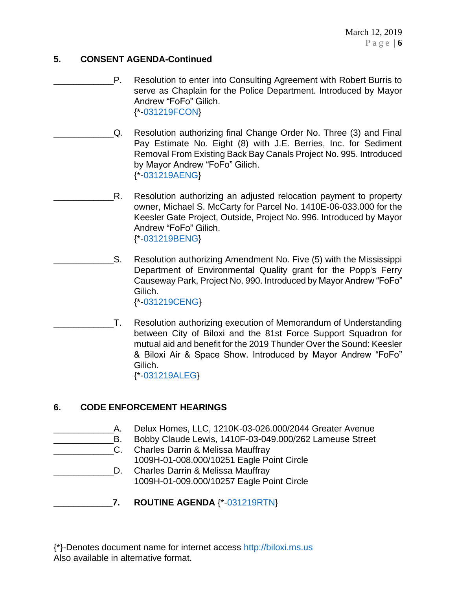# **5. CONSENT AGENDA-Continued**

- \_\_\_\_\_\_\_\_\_\_\_\_P. Resolution to enter into Consulting Agreement with Robert Burris to serve as Chaplain for the Police Department. Introduced by Mayor Andrew "FoFo" Gilich. {\*[-031219FCON}](https://www.biloxi.ms.us/agendas/citycouncil/2019/031219/031219fcon.pdf)
- \_\_\_\_\_\_\_\_\_\_\_\_Q. Resolution authorizing final Change Order No. Three (3) and Final Pay Estimate No. Eight (8) with J.E. Berries, Inc. for Sediment Removal From Existing Back Bay Canals Project No. 995. Introduced by Mayor Andrew "FoFo" Gilich. {\*[-031219AENG}](https://www.biloxi.ms.us/agendas/citycouncil/2019/031219/031219aeng.pdf)
- \_\_\_\_\_\_\_\_\_\_\_\_R. Resolution authorizing an adjusted relocation payment to property owner, Michael S. McCarty for Parcel No. 1410E-06-033.000 for the Keesler Gate Project, Outside, Project No. 996. Introduced by Mayor Andrew "FoFo" Gilich. {\*[-031219BENG}](https://www.biloxi.ms.us/agendas/citycouncil/2019/031219/031219beng.pdf)
- \_\_\_\_\_\_\_\_\_\_\_\_S. Resolution authorizing Amendment No. Five (5) with the Mississippi Department of Environmental Quality grant for the Popp's Ferry Causeway Park, Project No. 990. Introduced by Mayor Andrew "FoFo" Gilich. {\*[-031219CENG}](https://www.biloxi.ms.us/agendas/citycouncil/2019/031219/031219ceng.pdf)
- \_\_\_\_\_\_\_\_\_\_\_\_T. Resolution authorizing execution of Memorandum of Understanding between City of Biloxi and the 81st Force Support Squadron for mutual aid and benefit for the 2019 Thunder Over the Sound: Keesler & Biloxi Air & Space Show. Introduced by Mayor Andrew "FoFo" Gilich.

{\*[-031219ALEG}](https://www.biloxi.ms.us/agendas/citycouncil/2019/031219/031219aleg.pdf)

# **6. CODE ENFORCEMENT HEARINGS**

- \_\_\_\_\_\_\_\_\_\_\_\_A. Delux Homes, LLC, 1210K-03-026.000/2044 Greater Avenue
	- B. Bobby Claude Lewis, 1410F-03-049.000/262 Lameuse Street
- C. Charles Darrin & Melissa Mauffray 1009H-01-008.000/10251 Eagle Point Circle
- D. Charles Darrin & Melissa Mauffray 1009H-01-009.000/10257 Eagle Point Circle
- **\_\_\_\_\_\_\_\_\_\_\_\_7. ROUTINE AGENDA** {\*[-031219RTN}](https://www.biloxi.ms.us/agendas/citycouncil/2019/031219/031219rtn.pdf)

{\*}-Denotes document name for internet access [http://biloxi.ms.us](http://biloxi.ms.us/) Also available in alternative format.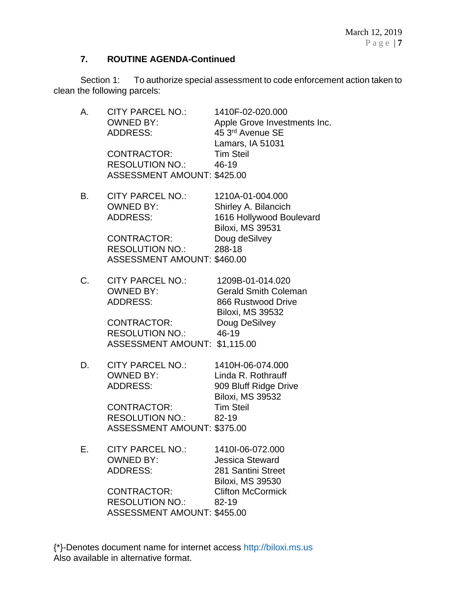# **7. ROUTINE AGENDA-Continued**

Section 1: To authorize special assessment to code enforcement action taken to clean the following parcels:

| А. | <b>CITY PARCEL NO.:</b><br><b>OWNED BY:</b><br><b>ADDRESS:</b><br><b>CONTRACTOR:</b><br><b>RESOLUTION NO.:</b><br><b>ASSESSMENT AMOUNT: \$425.00</b> | 1410F-02-020.000<br>Apple Grove Investments Inc.<br>45 3rd Avenue SE<br>Lamars, IA 51031<br><b>Tim Steil</b><br>46-19            |
|----|------------------------------------------------------------------------------------------------------------------------------------------------------|----------------------------------------------------------------------------------------------------------------------------------|
| В. | <b>CITY PARCEL NO.:</b><br><b>OWNED BY:</b><br><b>ADDRESS:</b><br>CONTRACTOR:<br><b>RESOLUTION NO.:</b><br><b>ASSESSMENT AMOUNT: \$460.00</b>        | 1210A-01-004.000<br>Shirley A. Bilancich<br>1616 Hollywood Boulevard<br><b>Biloxi, MS 39531</b><br>Doug deSilvey<br>288-18       |
| C. | <b>CITY PARCEL NO.:</b><br><b>OWNED BY:</b><br><b>ADDRESS:</b><br><b>CONTRACTOR:</b><br><b>RESOLUTION NO.:</b><br>ASSESSMENT AMOUNT: \$1,115.00      | 1209B-01-014.020<br><b>Gerald Smith Coleman</b><br>866 Rustwood Drive<br><b>Biloxi, MS 39532</b><br>Doug DeSilvey<br>46-19       |
| D. | <b>CITY PARCEL NO.:</b><br><b>OWNED BY:</b><br><b>ADDRESS:</b><br>CONTRACTOR:<br><b>RESOLUTION NO.:</b><br><b>ASSESSMENT AMOUNT: \$375.00</b>        | 1410H-06-074.000<br>Linda R. Rothrauff<br>909 Bluff Ridge Drive<br><b>Biloxi, MS 39532</b><br><b>Tim Steil</b><br>82-19          |
| Е. | <b>CITY PARCEL NO.:</b><br><b>OWNED BY:</b><br><b>ADDRESS:</b><br><b>CONTRACTOR:</b><br><b>RESOLUTION NO.:</b><br><b>ASSESSMENT AMOUNT: \$455.00</b> | 1410I-06-072.000<br><b>Jessica Steward</b><br>281 Santini Street<br><b>Biloxi, MS 39530</b><br><b>Clifton McCormick</b><br>82-19 |

{\*}-Denotes document name for internet access [http://biloxi.ms.us](http://biloxi.ms.us/) Also available in alternative format.